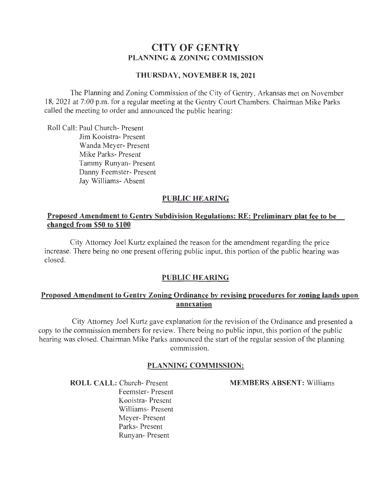# **CITY OF GENTRY PLANNING & ZONING COMMISSION**

#### **THURSDAY, NOVEMBER 18, 2021**

The Planning and Zoning Commission of the City of Gentry, Arkansas met on November 18, 2021 at 7:00 p.m. for a regular meeting at the Gentry Court Chambers. Chairman Mike Parks called the meeting to order and announced the public hearing:

Roll Call: Paul Church- Present Jim Kooistra- Present Wanda Meyer- Present Mike Parks- Present Tammy Runyan- Present Danny Feemster- Present Jay Williams- Absent

### **PUBLIC HEARING**

### **Proposed Amendment to Gentry Subdivision Regulations: RE: Preliminary plat fee to be changed from \$50 to \$100**

City Attorney Joel Kurtz explained the reason for the amendment regarding the price increase. There being no one present offering public input, this portion of the public hearing was closed.

# **PUBLIC HEARING**

### **Proposed Amendment to Gentry Zoning Ordinance by revising procedures for zoning lands upon annexation**

City Attorney Joel Kurtz gave explanation for the revision of the Ordinance and presented a copy to the commission members for review. There being no public input, this portion of the public hearing was closed. Chairman Mike Parks announced the start of the regular session of the planning commission.

#### **PLANNING COMMISSION:**

**MEMBERS ABSENT:** Williams

**ROLL CALL:** Church- Present Feemster- Present Kooistra- Present Williams- Present Meyer- Present Parks- Present Runyan- Present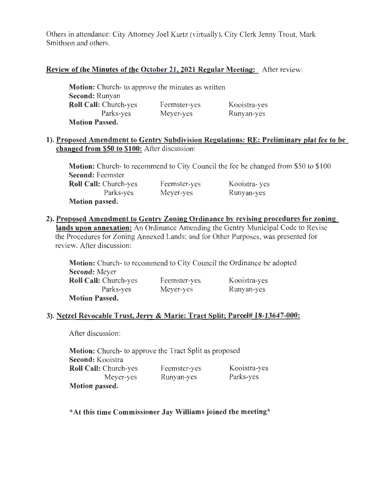Others in attendance: City Attorney Joel Kurtz (virtually), City Clerk Jenny Trout, Mark Smithson and others.

# Review of the Minutes of the October 21, 2021 Regular Meeting: After review:

| <b>Motion:</b> Church- to approve the minutes as written |              |              |
|----------------------------------------------------------|--------------|--------------|
| <b>Second: Runyan</b>                                    |              |              |
| <b>Roll Call: Church-yes</b>                             | Feemster-yes | Kooistra-yes |
| Parks-yes                                                | Meyer-yes    | Runyan-yes   |
| <b>Motion Passed.</b>                                    |              |              |

### 1). Proposed Amendment to Gentry Subdivision Regulations: RE: Preliminary plat fee to be changed from \$50 to \$100: After discussion:

Motion: Church- to recommend to City Council the fee be changed from \$50 to \$100 Second: Feemster Roll Call: Church-yes Parks-yes Motion passed. Feemster-yes Meyer-yes Kooistra- yes Runyan-yes

2). Proposed Amendment to Gentry Zoning Ordinance by revising procedures for zoning lands upon annexation: An Ordinance Amending the Gentry Municipal Code to Revise the Procedures for Zoning Annexed Lands; and for Other Purposes, was presented for review. After discussion:

Motion: Church- to recommend to City Council the Ordinance be adopted Second: Meyer Roll Call: Church-yes Parks-yes Motion Passed. Feemster-yes Meyer-yes Kooistra-yes Runyan-yes

# 3). Netzel Revocable Trust, Jerry & Marie: Tract Split; Parcel# 18-13647-000:

After discussion:

Motion: Church- to approve the Tract Split as proposed Second: Kooistra Roll Call: Church-yes Meyer-yes Motion passed. Feemster-yes Runyan-yes Kooistra-yes Parks-yes

\*At this time Commissioner Jay Williams joined the meeting\*